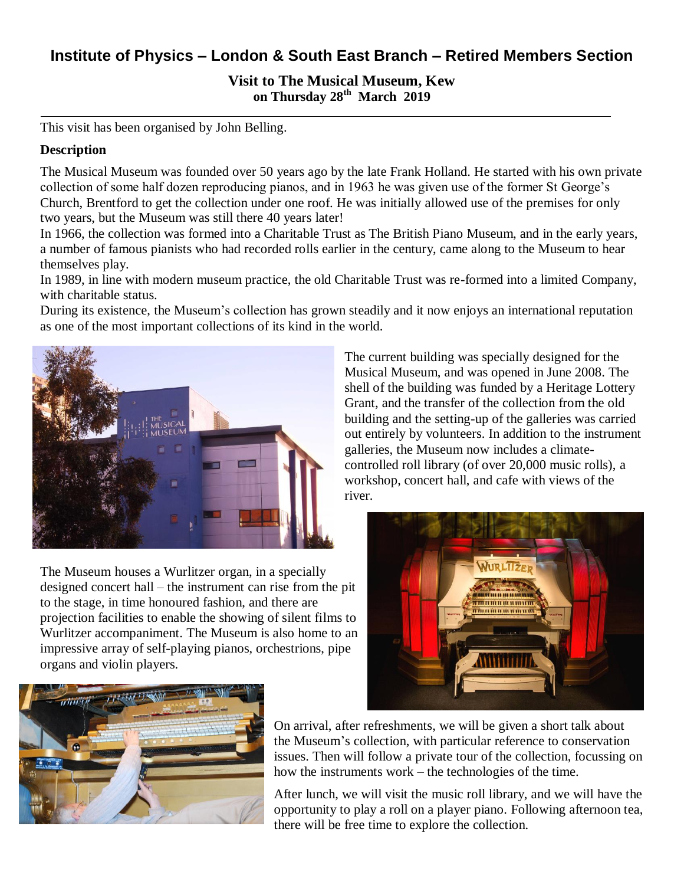# **Institute of Physics – London & South East Branch – Retired Members Section**

**Visit to The Musical Museum, Kew on Thursday 28th March 2019**

This visit has been organised by John Belling.

#### **Description**

The Musical Museum was founded over 50 years ago by the late Frank Holland. He started with his own private collection of some half dozen reproducing pianos, and in 1963 he was given use of the former St George's Church, Brentford to get the collection under one roof. He was initially allowed use of the premises for only two years, but the Museum was still there 40 years later!

In 1966, the collection was formed into a Charitable Trust as The British Piano Museum, and in the early years, a number of famous pianists who had recorded rolls earlier in the century, came along to the Museum to hear themselves play.

In 1989, in line with modern museum practice, the old Charitable Trust was re-formed into a limited Company, with charitable status.

During its existence, the Museum's collection has grown steadily and it now enjoys an international reputation as one of the most important collections of its kind in the world.



The Museum houses a Wurlitzer organ, in a specially designed concert hall – the instrument can rise from the pit to the stage, in time honoured fashion, and there are projection facilities to enable the showing of silent films to Wurlitzer accompaniment. The Museum is also home to an impressive array of self-playing pianos, orchestrions, pipe organs and violin players.

The current building was specially designed for the Musical Museum, and was opened in June 2008. The shell of the building was funded by a Heritage Lottery Grant, and the transfer of the collection from the old building and the setting-up of the galleries was carried out entirely by volunteers. In addition to the instrument galleries, the Museum now includes a climatecontrolled roll library (of over 20,000 music rolls), a workshop, concert hall, and cafe with views of the river.





On arrival, after refreshments, we will be given a short talk about the Museum's collection, with particular reference to conservation issues. Then will follow a private tour of the collection, focussing on how the instruments work – the technologies of the time.

After lunch, we will visit the music roll library, and we will have the opportunity to play a roll on a player piano. Following afternoon tea, there will be free time to explore the collection.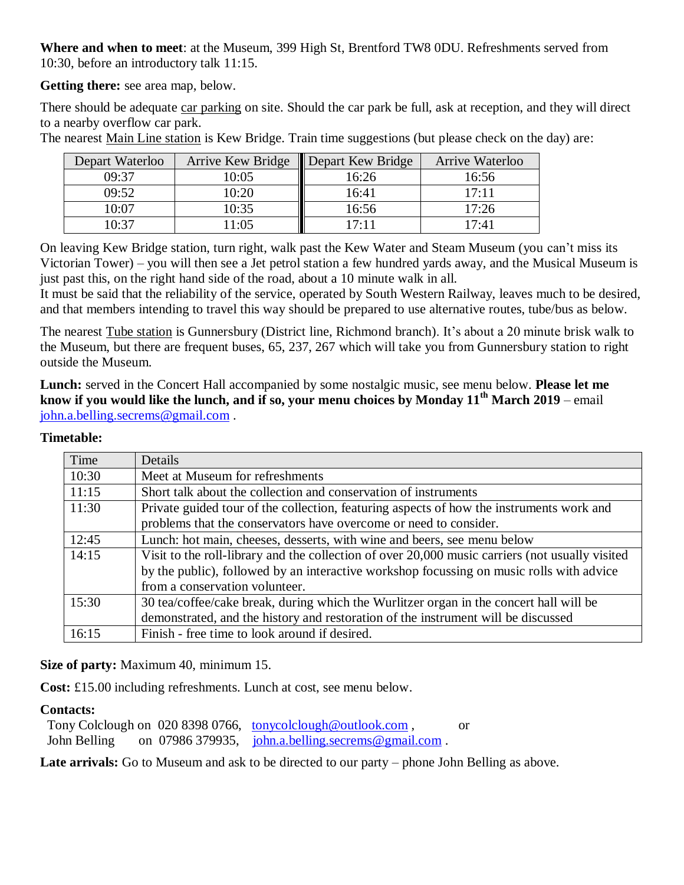**Where and when to meet**: at the Museum, 399 High St, Brentford TW8 0DU. Refreshments served from 10:30, before an introductory talk 11:15.

**Getting there:** see area map, below.

There should be adequate car parking on site. Should the car park be full, ask at reception, and they will direct to a nearby overflow car park.

Depart Waterloo | Arrive Kew Bridge | Depart Kew Bridge | Arrive Waterloo 09:37 10:05 16:26 16:56 09:52 10:20 **1** 16:41 17:11 10:07 10:35 16:56 17:26 10:37 | 11:05 | 17:11 | 17:41

The nearest Main Line station is Kew Bridge. Train time suggestions (but please check on the day) are:

On leaving Kew Bridge station, turn right, walk past the Kew Water and Steam Museum (you can't miss its Victorian Tower) – you will then see a Jet petrol station a few hundred yards away, and the Musical Museum is just past this, on the right hand side of the road, about a 10 minute walk in all.

It must be said that the reliability of the service, operated by South Western Railway, leaves much to be desired, and that members intending to travel this way should be prepared to use alternative routes, tube/bus as below.

The nearest Tube station is Gunnersbury (District line, Richmond branch). It's about a 20 minute brisk walk to the Museum, but there are frequent buses, 65, 237, 267 which will take you from Gunnersbury station to right outside the Museum.

**Lunch:** served in the Concert Hall accompanied by some nostalgic music, see menu below. **Please let me know if you would like the lunch, and if so, your menu choices by Monday 11th March 2019** – email [john.a.belling.secrems@gmail.com](mailto:john.a.belling.secrems@gmail.com) .

### **Timetable:**

| Time  | Details                                                                                         |
|-------|-------------------------------------------------------------------------------------------------|
| 10:30 | Meet at Museum for refreshments                                                                 |
| 11:15 | Short talk about the collection and conservation of instruments                                 |
| 11:30 | Private guided tour of the collection, featuring aspects of how the instruments work and        |
|       | problems that the conservators have overcome or need to consider.                               |
| 12:45 | Lunch: hot main, cheeses, desserts, with wine and beers, see menu below                         |
| 14:15 | Visit to the roll-library and the collection of over 20,000 music carriers (not usually visited |
|       | by the public), followed by an interactive workshop focussing on music rolls with advice        |
|       | from a conservation volunteer.                                                                  |
| 15:30 | 30 tea/coffee/cake break, during which the Wurlitzer organ in the concert hall will be          |
|       | demonstrated, and the history and restoration of the instrument will be discussed               |
| 16:15 | Finish - free time to look around if desired.                                                   |

**Size of party:** Maximum 40, minimum 15.

**Cost:** £15.00 including refreshments. Lunch at cost, see menu below.

### **Contacts:**

Tony Colclough on 020 8398 0766, [tonycolclough@outlook.com](mailto:tonycolclough@outlook.com), or John Belling on 07986 379935, [john.a.belling.secrems@gmail.com](mailto:john.a.belling.secrems@gmail.com).

Late arrivals: Go to Museum and ask to be directed to our party – phone John Belling as above.